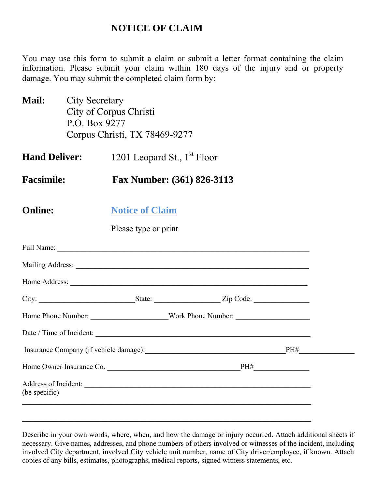## **NOTICE OF CLAIM**

You may use this form to submit a claim or submit a letter format containing the claim information. Please submit your claim within 180 days of the injury and or property damage. You may submit the completed claim form by:

- **Mail:** City Secretary City of Corpus Christi P.O. Box 9277 Corpus Christi, TX 78469-9277
- **Hand Deliver:** 1201 Leopard St., 1<sup>st</sup> Floor
- **Facsimile: Fax Number: (361) 826-3113**

| <b>Online:</b> | <b>Notice of Claim</b> |
|----------------|------------------------|
|                |                        |

Please type or print

|               | Date / Time of Incident:                   |  |
|---------------|--------------------------------------------|--|
|               | Insurance Company (if vehicle damage): PH# |  |
|               | Home Owner Insurance Co. PH#               |  |
| (be specific) |                                            |  |
|               |                                            |  |

Describe in your own words, where, when, and how the damage or injury occurred. Attach additional sheets if necessary. Give names, addresses, and phone numbers of others involved or witnesses of the incident, including involved City department, involved City vehicle unit number, name of City driver/employee, if known. Attach copies of any bills, estimates, photographs, medical reports, signed witness statements, etc.